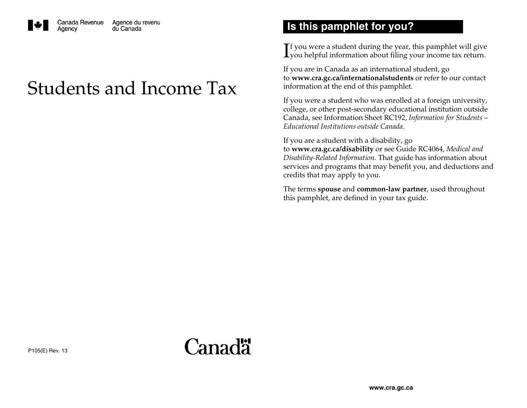

# Students and Income Tax

# **Is this pamphlet for you?**

 $\bf{I}$ f you were a student during the year, this pamphlet will give<br> $\bf{I}$ vou helpful information about filing vour income tax return. you helpful information about filing your income tax return.

If you are in Canada as an international student, go to **www.cra.gc.ca/internationalstudents** or refer to our contact information at the end of this pamphlet.

If you were a student who was enrolled at a foreign university, college, or other post-secondary educational institution outside Canada, see Information Sheet RC192, *Information for Students*  – *Educational Institutions outside Canada*.

If you are a student with a disability, go

to **www.cra.gc.ca/disability** or see Guide RC4064, *Medical and Disability-Related Information*. That guide has information about services and programs that may benefit you, and deductions and credits that may apply to you.

The terms **spouse** and **common-law partner**, used throughout this pamphlet, are defined in your tax guide.

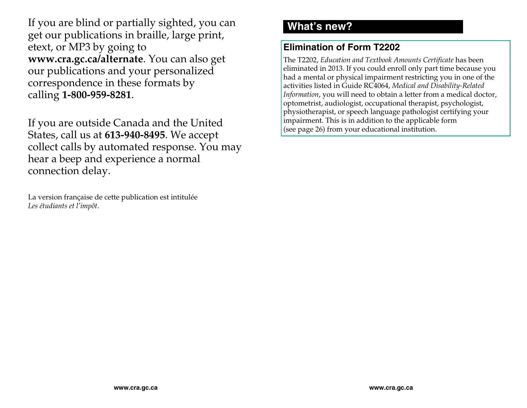If you are blind or partially sighted, you can get our publications in braille, large print, etext, or MP3 by going to **www.cra.gc.ca/alternate**. You can also get our publications and your personalized correspondence in these formats by calling **1-800-959-8281**.

If you are outside Canada and the United States, call us at **613-940-8495**. We accept collect calls by automated response. You may hear a beep and experience a normal connection delay.

La version française de cette publication est intitulée *Les étudiants et l'impôt*.

# **What's new?**

### **Elimination of Form T2202**

The T2202, *Education and Textbook Amounts Certificate* has been eliminated in 2013. If you could enroll only part time because you had a mental or physical impairment restricting you in one of the activities listed in Guide RC4064, *Medical and Disability-Related Information*, you will need to obtain a letter from a medical doctor, optometrist, audiologist, occupational therapist, psychologist, physiotherapist, or speech language pathologist certifying your impairment. This is in addition to the applicable form (see page 26) from your educational institution.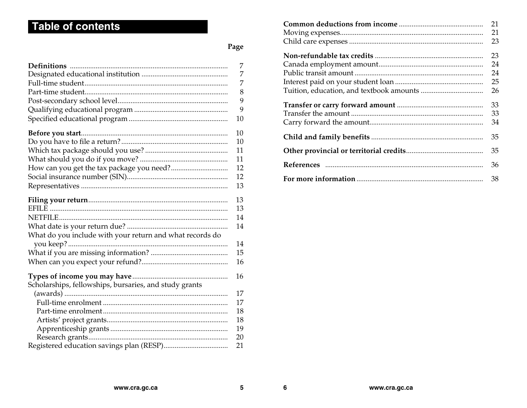# Table of contents

|                                                          | 7  |
|----------------------------------------------------------|----|
|                                                          | 7  |
|                                                          | 7  |
|                                                          | 8  |
|                                                          | 9  |
|                                                          | 9  |
|                                                          | 10 |
|                                                          | 10 |
|                                                          | 10 |
|                                                          | 11 |
|                                                          | 11 |
|                                                          | 12 |
|                                                          | 12 |
|                                                          | 13 |
|                                                          | 13 |
|                                                          | 13 |
|                                                          | 14 |
|                                                          | 14 |
| What do you include with your return and what records do |    |
|                                                          | 14 |
|                                                          | 15 |
|                                                          | 16 |
|                                                          | 16 |
| Scholarships, fellowships, bursaries, and study grants   |    |
|                                                          | 17 |
|                                                          | 17 |
|                                                          | 18 |
|                                                          | 18 |
|                                                          | 19 |
|                                                          | 20 |
|                                                          | 21 |

| 21 |
|----|
| 21 |
| 23 |
| 23 |
| 24 |
| 24 |
|    |
| 25 |
| 26 |
| 33 |
| 33 |
| 34 |
|    |
| 35 |
| 35 |
| 36 |
|    |

 $6\phantom{a}$ 

 $5\phantom{.0}$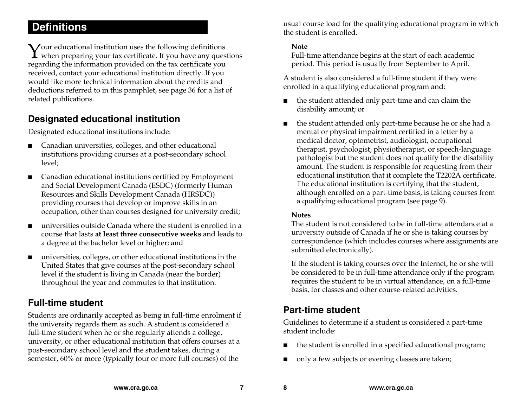# **Definitions**

 $\boldsymbol{\mathrm{Y}}$ our educational institution uses the following definitions when preparing your tax certificate. If you have any ques  $\bf{I}$  when preparing your tax certificate. If you have any questions regarding the information provided on the tax certificate you received, contact your educational institution directly. If you would like more technical information about the credits and deductions referred to in this pamphlet, see page 36 for a list of related publications.

### **Designated educational institution**

Designated educational institutions include:

- ■ Canadian universities, colleges, and other educational institutions providing courses at a post-secondary school level;
- ■ Canadian educational institutions certified by Employment and Social Development Canada (ESDC) (formerly Human Resources and Skills Development Canada (HRSDC)) providing courses that develop or improve skills in an occupation, other than courses designed for university credit;
- ■ universities outside Canada where the student is enrolled in a course that lasts **at least three consecutive weeks** and leads to a degree at the bachelor level or higher; and
- ■ universities, colleges, or other educational institutions in the United States that give courses at the post-secondary school level if the student is living in Canada (near the border) throughout the year and commutes to that institution.

# **Full-time student**

Students are ordinarily accepted as being in full-time enrolment if the university regards them as such. A student is considered a full-time student when he or she regularly attends a college, university, or other educational institution that offers courses at a post-secondary school level and the student takes, during a semester, 60% or more (typically four or more full courses) of the

usual course load for the qualifying educational program in which the student is enrolled.

#### **Note**

Full-time attendance begins at the start of each academic period. This period is usually from September to April.

A student is also considered a full-time student if they were enrolled in a qualifying educational program and:

- the student attended only part-time and can claim the disability amount; or
- ■ the student attended only part-time because he or she had a mental or physical impairment certified in a letter by a medical doctor, optometrist, audiologist, occupational therapist, psychologist, physiotherapist, or speech-language pathologist but the student does not qualify for the disability amount. The student is responsible for requesting from their educational institution that it complete the T2202A certificate. The educational institution is certifying that the student, although enrolled on a part-time basis, is taking courses from a qualifying educational program (see page 9).

#### **Notes**

The student is not considered to be in full-time attendance at a university outside of Canada if he or she is taking courses by correspondence (which includes courses where assignments are submitted electronically).

If the student is taking courses over the Internet, he or she will be considered to be in full-time attendance only if the program requires the student to be in virtual attendance, on a full-time basis, for classes and other course-related activities.

# **Part-time student**

Guidelines to determine if a student is considered a part-time student include:

- ■the student is enrolled in a specified educational program;
- ■only a few subjects or evening classes are taken;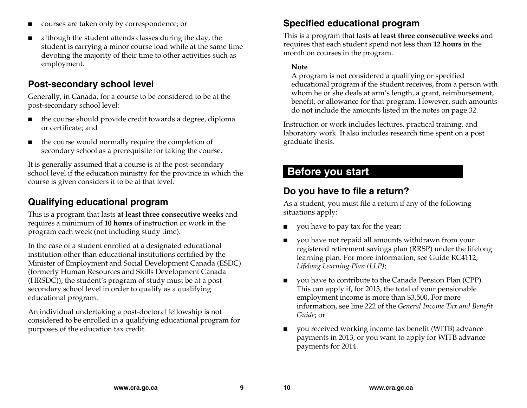- ■courses are taken only by correspondence; or
- ■ although the student attends classes during the day, the student is carrying a minor course load while at the same time devoting the majority of their time to other activities such as employment.

### **Post-secondary school level**

Generally, in Canada, for a course to be considered to be at the post-secondary school level:

- ■ the course should provide credit towards a degree, diploma or certificate; and
- ■ the course would normally require the completion of secondary school as a prerequisite for taking the course.

It is generally assumed that a course is at the post-secondary school level if the education ministry for the province in which the course is given considers it to be at that level.

### **Qualifying educational program**

This is a program that lasts **at least three consecutive weeks** and requires a minimum of **10 hours** of instruction or work in the program each week (not including study time).

In the case of a student enrolled at a designated educational institution other than educational institutions certified by the Minister of Employment and Social Development Canada (ESDC) (formerly Human Resources and Skills Development Canada (HRSDC)), the student's program of study must be at a postsecondary school level in order to qualify as a qualifying educational program.

An individual undertaking a post-doctoral fellowship is not considered to be enrolled in a qualifying educational program for purposes of the education tax credit.

# **Specified educational program**

This is a program that lasts **at least three consecutive weeks** and requires that each student spend not less than **12 hours** in the month on courses in the program.

#### **Note**

A program is not considered a qualifying or specified educational program if the student receives, from a person with whom he or she deals at arm's length, a grant, reimbursement, benefit, or allowance for that program. However, such amounts do **not** include the amounts listed in the notes on page 32.

Instruction or work includes lectures, practical training, and laboratory work. It also includes research time spent on a post graduate thesis.

# **Before you start**

### **Do you have to file a return?**

As a student, you must file a return if any of the following situations apply:

- ■you have to pay tax for the year;
- ■ you have not repaid all amounts withdrawn from your registered retirement savings plan (RRSP) under the lifelong learning plan. For more information, see Guide RC4112, *Lifelong Learning Plan (LLP)*;
- ■ you have to contribute to the Canada Pension Plan (CPP). This can apply if, for 2013, the total of your pensionable employment income is more than \$3,500. For more information, see line 222 of the *General Income Tax and Benefit Guide*; or
- ■ you received working income tax benefit (WITB) advance payments in 2013, or you want to apply for WITB advance payments for 2014.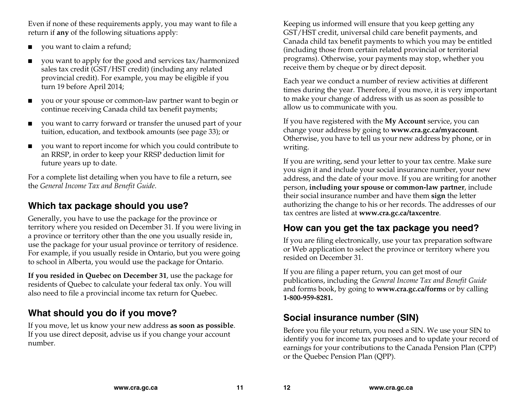Even if none of these requirements apply, you may want to file a return if **any** of the following situations apply:

- you want to claim a refund;
- you want to apply for the good and services tax/harmonized sales tax credit (GST/HST credit) (including any related provincial credit). For example, you may be eligible if you turn 19 before April 2014;
- ■ you or your spouse or common-law partner want to begin or continue receiving Canada child tax benefit payments;
- ■ you want to carry forward or transfer the unused part of your tuition, education, and textbook amounts (see page 33); or
- ■ you want to report income for which you could contribute to an RRSP, in order to keep your RRSP deduction limit for future years up to date.

For a complete list detailing when you have to file a return, see the *General Income Tax and Benefit Guide*.

### **Which tax package should you use?**

Generally, you have to use the package for the province or territory where you resided on December 31. If you were living in a province or territory other than the one you usually reside in, use the package for your usual province or territory of residence. For example, if you usually reside in Ontario, but you were going to school in Alberta, you would use the package for Ontario.

**If you resided in Quebec on December 31**, use the package for residents of Quebec to calculate your federal tax only. You will also need to file a provincial income tax return for Quebec.

### **What should you do if you move?**

If you move, let us know your new address **as soon as possible**. If you use direct deposit, advise us if you change your account number.

Keeping us informed will ensure that you keep getting any GST/HST credit, universal child care benefit payments, and Canada child tax benefit payments to which you may be entitled (including those from certain related provincial or territorial programs). Otherwise, your payments may stop, whether you receive them by cheque or by direct deposit.

Each year we conduct a number of review activities at different times during the year. Therefore, if you move, it is very important to make your change of address with us as soon as possible to allow us to communicate with you.

If you have registered with the **My Account** service, you can change your address by going to **www.cra.gc.ca/myaccount**. Otherwise, you have to tell us your new address by phone, or in writing.

If you are writing, send your letter to your tax centre. Make sure you sign it and include your social insurance number, your new address, and the date of your move. If you are writing for another person, **including your spouse or common-law partner**, include their social insurance number and have them **sign** the letter authorizing the change to his or her records. The addresses of our tax centres are listed at **www.cra.gc.ca/taxcentre**.

### **How can you get the tax package you need?**

If you are filing electronically, use your tax preparation software or Web application to select the province or territory where you resided on December 31.

If you are filing a paper return, you can get most of our publications, including the *General Income Tax and Benefit Guide* and forms book, by going to **www.cra.gc.ca/forms** or by calling **1-800-959-8281.** 

### **Social insurance number (SIN)**

Before you file your return, you need a SIN. We use your SIN to identify you for income tax purposes and to update your record of earnings for your contributions to the Canada Pension Plan (CPP) or the Quebec Pension Plan (QPP).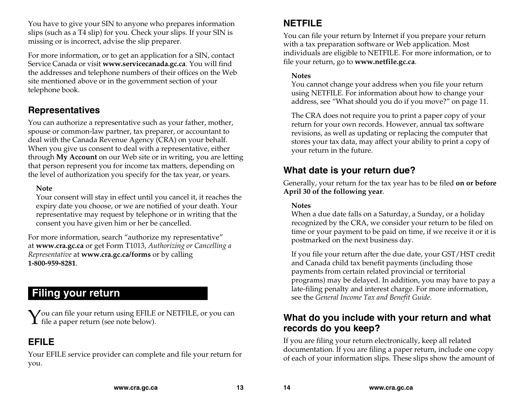You have to give your SIN to anyone who prepares information slips (such as a T4 slip) for you. Check your slips. If your SIN is missing or is incorrect, advise the slip preparer.

For more information, or to get an application for a SIN, contact Service Canada or visit **www.servicecanada.gc.ca**. You will find the addresses and telephone numbers of their offices on the Web site mentioned above or in the government section of your telephone book.

### **Representatives**

You can authorize a representative such as your father, mother, spouse or common-law partner, tax preparer, or accountant to deal with the Canada Revenue Agency (CRA) on your behalf. When you give us consent to deal with a representative, either through **My Account** on our Web site or in writing, you are letting that person represent you for income tax matters, depending on the level of authorization you specify for the tax year, or years.

#### **Note**

Your consent will stay in effect until you cancel it, it reaches the expiry date you choose, or we are notified of your death. Your representative may request by telephone or in writing that the consent you have given him or her be cancelled.

For more information, search "authorize my representative" at **www.cra.gc.ca** or get Form T1013, *Authorizing or Cancelling a Representative* at **www.cra.gc.ca/forms** or by calling **1-800-959-8281**.

# **Filing your return**

 $\sum$ ou can file your return using EFILE or NETFILE, or you can file a paper return (see note below).  $\blacktriangle$  file a paper return (see note below).

# **EFILE**

Your EFILE service provider can complete and file your return for you.

# **NETFILE**

You can file your return by Internet if you prepare your return with a tax preparation software or Web application. Most individuals are eligible to NETFILE. For more information, or to file your return, go to **www.netfile.gc.ca**.

#### **Notes**

You cannot change your address when you file your return using NETFILE. For information about how to change your address, see "What should you do if you move?" on page 11.

The CRA does not require you to print a paper copy of your return for your own records. However, annual tax software revisions, as well as updating or replacing the computer that stores your tax data, may affect your ability to print a copy of your return in the future.

### **What date is your return due?**

Generally, your return for the tax year has to be filed **on or before April 30 of the following year**.

#### **Notes**

When a due date falls on a Saturday, a Sunday, or a holiday recognized by the CRA, we consider your return to be filed on time or your payment to be paid on time, if we receive it or it is postmarked on the next business day.

If you file your return after the due date, your GST/HST credit and Canada child tax benefit payments (including those payments from certain related provincial or territorial programs) may be delayed. In addition, you may have to pay a late-filing penalty and interest charge. For more information, see the *General Income Tax and Benefit Guide*.

### **What do you include with your return and what records do you keep?**

If you are filing your return electronically, keep all related documentation. If you are filing a paper return, include one copy of each of your information slips. These slips show the amount of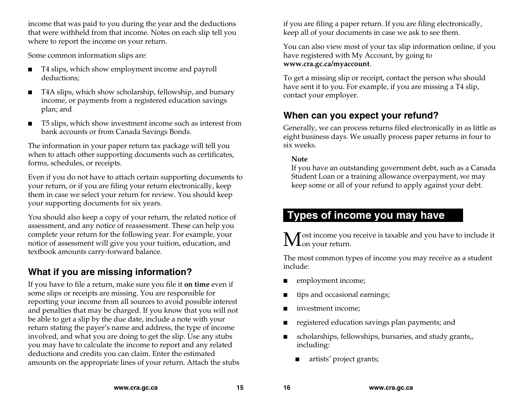income that was paid to you during the year and the deductions that were withheld from that income. Notes on each slip tell you where to report the income on your return.

Some common information slips are:

- ■ T4 slips, which show employment income and payroll deductions;
- ■ T4A slips, which show scholarship, fellowship, and bursary income, or payments from a registered education savings plan; and
- ■ T5 slips, which show investment income such as interest from bank accounts or from Canada Savings Bonds.

The information in your paper return tax package will tell you when to attach other supporting documents such as certificates, forms, schedules, or receipts.

Even if you do not have to attach certain supporting documents to your return, or if you are filing your return electronically, keep them in case we select your return for review. You should keep your supporting documents for six years.

You should also keep a copy of your return, the related notice of assessment, and any notice of reassessment. These can help you complete your return for the following year. For example, your notice of assessment will give you your tuition, education, and textbook amounts carry-forward balance.

# **What if you are missing information?**

If you have to file a return, make sure you file it **on time** even if some slips or receipts are missing. You are responsible for reporting your income from all sources to avoid possible interest and penalties that may be charged. If you know that you will not be able to get a slip by the due date, include a note with your return stating the payer's name and address, the type of income involved, and what you are doing to get the slip. Use any stubs you may have to calculate the income to report and any related deductions and credits you can claim. Enter the estimated amounts on the appropriate lines of your return. Attach the stubs

if you are filing a paper return. If you are filing electronically, keep all of your documents in case we ask to see them.

You can also view most of your tax slip information online, if you have registered with My Account, by going to **www.cra.gc.ca/myaccount**.

To get a missing slip or receipt, contact the person who should have sent it to you. For example, if you are missing a T4 slip, contact your employer.

# **When can you expect your refund?**

Generally, we can process returns filed electronically in as little as eight business days. We usually process paper returns in four to six weeks.

#### **Note**

If you have an outstanding government debt, such as a Canada Student Loan or a training allowance overpayment, we may keep some or all of your refund to apply against your debt.

# **Types of income you may have**

ost income you receive is taxable and you have to include it  $\rm M$ ost income you<br>Ton your return.

The most common types of income you may receive as a student include:

- ■employment income;
- ■tips and occasional earnings;
- ■investment income;
- ■registered education savings plan payments; and
- ■ scholarships, fellowships, bursaries, and study grants,, including:
	- artists' project grants;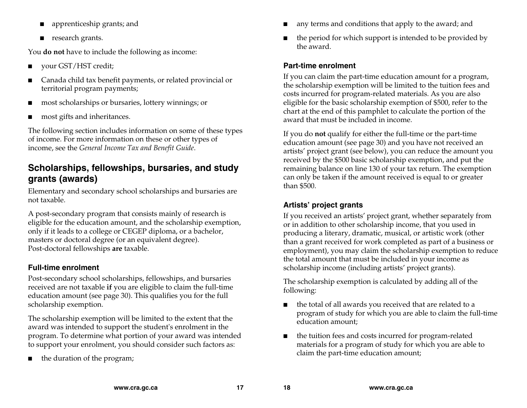- ■apprenticeship grants; and
- research grants.

You **do not** have to include the following as income:

- ■your GST/HST credit;
- ■ Canada child tax benefit payments, or related provincial or territorial program payments;
- most scholarships or bursaries, lottery winnings; or
- most gifts and inheritances.

The following section includes information on some of these types of income. For more information on these or other types of income, see the *General Income Tax and Benefit Guide*.

### **Scholarships, fellowships, bursaries, and study grants (awards)**

Elementary and secondary school scholarships and bursaries are not taxable.

A post-secondary program that consists mainly of research is eligible for the education amount, and the scholarship exemption, only if it leads to a college or CEGEP diploma, or a bachelor, masters or doctoral degree (or an equivalent degree). Post-doctoral fellowships **are** taxable.

#### **Full-time enrolment**

Post-secondary school scholarships, fellowships, and bursaries received are not taxable **if** you are eligible to claim the full-time education amount (see page 30). This qualifies you for the full scholarship exemption.

The scholarship exemption will be limited to the extent that the award was intended to support the student's enrolment in the program. To determine what portion of your award was intended to support your enrolment, you should consider such factors as:

■the duration of the program;

- ■any terms and conditions that apply to the award; and
- ■ the period for which support is intended to be provided by the award.

#### **Part-time enrolment**

If you can claim the part-time education amount for a program, the scholarship exemption will be limited to the tuition fees and costs incurred for program-related materials. As you are also eligible for the basic scholarship exemption of \$500, refer to the chart at the end of this pamphlet to calculate the portion of the award that must be included in income.

If you do **not** qualify for either the full-time or the part-time education amount (see page 30) and you have not received an artists' project grant (see below), you can reduce the amount you received by the \$500 basic scholarship exemption, and put the remaining balance on line 130 of your tax return. The exemption can only be taken if the amount received is equal to or greater than \$500.

#### **Artists' project grants**

If you received an artists' project grant, whether separately from or in addition to other scholarship income, that you used in producing a literary, dramatic, musical, or artistic work (other than a grant received for work completed as part of a business or employment), you may claim the scholarship exemption to reduce the total amount that must be included in your income as scholarship income (including artists' project grants).

The scholarship exemption is calculated by adding all of the following:

- the total of all awards you received that are related to a program of study for which you are able to claim the full-time education amount;
- ■ the tuition fees and costs incurred for program-related materials for a program of study for which you are able to claim the part-time education amount;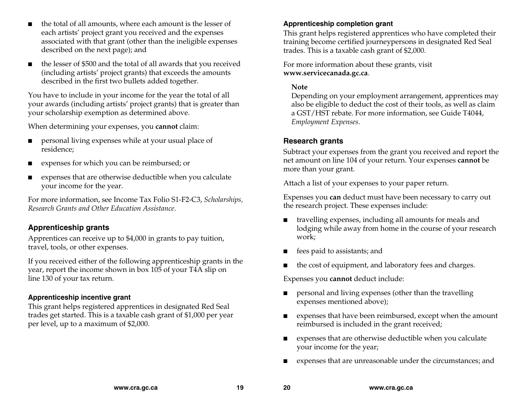- ■ the total of all amounts, where each amount is the lesser of each artists' project grant you received and the expenses associated with that grant (other than the ineligible expenses described on the next page); and
- ■ the lesser of \$500 and the total of all awards that you received (including artists' project grants) that exceeds the amounts described in the first two bullets added together.

You have to include in your income for the year the total of all your awards (including artists' project grants) that is greater than your scholarship exemption as determined above.

When determining your expenses, you **cannot** claim:

- personal living expenses while at your usual place of residence;
- ■expenses for which you can be reimbursed; or
- ■ expenses that are otherwise deductible when you calculate your income for the year.

For more information, see Income Tax Folio S1-F2-C3, *Scholarships, Research Grants and Other Education Assistance*.

#### **Apprenticeship grants**

Apprentices can receive up to \$4,000 in grants to pay tuition, travel, tools, or other expenses.

If you received either of the following apprenticeship grants in the year, report the income shown in box 105 of your T4A slip on line 130 of your tax return.

#### **Apprenticeship incentive grant**

This grant helps registered apprentices in designated Red Seal trades get started. This is a taxable cash grant of \$1,000 per year per level, up to a maximum of \$2,000.

#### **Apprenticeship completion grant**

This grant helps registered apprentices who have completed their training become certified journeypersons in designated Red Seal trades. This is a taxable cash grant of \$2,000.

For more information about these grants, visit **www.servicecanada.gc.ca**.

#### **Note**

Depending on your employment arrangement, apprentices may also be eligible to deduct the cost of their tools, as well as claim a GST/HST rebate. For more information, see Guide T4044, *Employment Expenses*.

#### **Research grants**

Subtract your expenses from the grant you received and report the net amount on line 104 of your return. Your expenses **cannot** be more than your grant.

Attach a list of your expenses to your paper return.

Expenses you **can** deduct must have been necessary to carry out the research project. These expenses include:

- travelling expenses, including all amounts for meals and lodging while away from home in the course of your research work;
- ■fees paid to assistants; and
- ■the cost of equipment, and laboratory fees and charges.

Expenses you **cannot** deduct include:

- ■ personal and living expenses (other than the travelling expenses mentioned above);
- ■ expenses that have been reimbursed, except when the amount reimbursed is included in the grant received;
- ■ expenses that are otherwise deductible when you calculate your income for the year;
- ■expenses that are unreasonable under the circumstances; and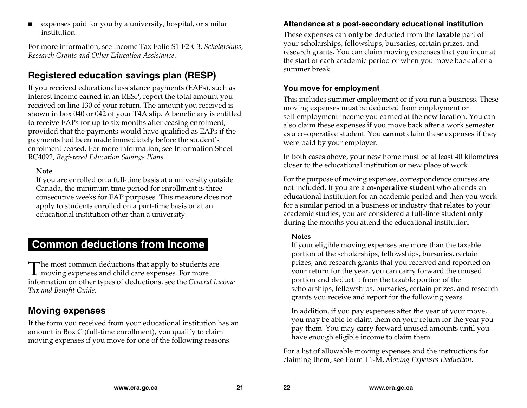■ expenses paid for you by a university, hospital, or similar institution.

For more information, see Income Tax Folio S1-F2-C3, *Scholarships, Research Grants and Other Education Assistance*.

# **Registered education savings plan (RESP)**

If you received educational assistance payments (EAPs), such as interest income earned in an RESP, report the total amount you received on line 130 of your return. The amount you received is shown in box 040 or 042 of your T4A slip. A beneficiary is entitled to receive EAPs for up to six months after ceasing enrolment, provided that the payments would have qualified as EAPs if the payments had been made immediately before the student's enrolment ceased. For more information, see Information Sheet RC4092, *Registered Education Savings Plans*.

#### **Note**

If you are enrolled on a full-time basis at a university outside Canada, the minimum time period for enrollment is three consecutive weeks for EAP purposes. This measure does not apply to students enrolled on a part-time basis or at an educational institution other than a university.

# **Common deductions from income**

 $\sum$  he most common deductions that apply to students are moving expenses and child care expenses. For more moving expenses and child care expenses. For more information on other types of deductions, see the *General Income Tax and Benefit Guide*.

### **Moving expenses**

If the form you received from your educational institution has an amount in Box C (full-time enrollment), you qualify to claim moving expenses if you move for one of the following reasons.

#### **Attendance at a post-secondary educational institution**

These expenses can **only** be deducted from the **taxable** part of your scholarships, fellowships, bursaries, certain prizes, and research grants. You can claim moving expenses that you incur at the start of each academic period or when you move back after a summer break.

#### **You move for employment**

This includes summer employment or if you run a business. These moving expenses must be deducted from employment or self-employment income you earned at the new location. You can also claim these expenses if you move back after a work semester as a co-operative student. You **cannot** claim these expenses if they were paid by your employer.

In both cases above, your new home must be at least 40 kilometres closer to the educational institution or new place of work.

For the purpose of moving expenses, correspondence courses are not included. If you are a **co-operative student** who attends an educational institution for an academic period and then you work for a similar period in a business or industry that relates to your academic studies, you are considered a full-time student **only** during the months you attend the educational institution.

#### **Notes**

If your eligible moving expenses are more than the taxable portion of the scholarships, fellowships, bursaries, certain prizes, and research grants that you received and reported on your return for the year, you can carry forward the unused portion and deduct it from the taxable portion of the scholarships, fellowships, bursaries, certain prizes, and research grants you receive and report for the following years.

In addition, if you pay expenses after the year of your move, you may be able to claim them on your return for the year you pay them. You may carry forward unused amounts until you have enough eligible income to claim them.

For a list of allowable moving expenses and the instructions for claiming them, see Form T1-M, *Moving Expenses Deduction*.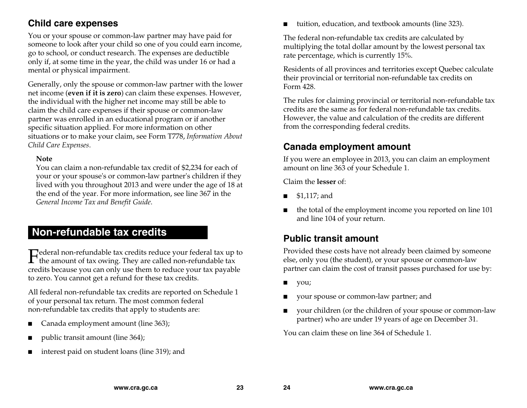# **Child care expenses**

You or your spouse or common-law partner may have paid for someone to look after your child so one of you could earn income, go to school, or conduct research. The expenses are deductible only if, at some time in the year, the child was under 16 or had a mental or physical impairment.

Generally, only the spouse or common-law partner with the lower net income (**even if it is zero**) can claim these expenses. However, the individual with the higher net income may still be able to claim the child care expenses if their spouse or common-law partner was enrolled in an educational program or if another specific situation applied. For more information on other situations or to make your claim, see Form T778, *Information About Child Care Expenses*.

#### **Note**

You can claim a non-refundable tax credit of \$2,234 for each of your or your spouse's or common-law partner's children if they lived with you throughout 2013 and were under the age of 18 at the end of the year. For more information, see line 367 in the *General Income Tax and Benefit Guide*.

# **Non-refundable tax credits**

**T**ederal non-refundable tax credits reduce your federal tax up to  $\Gamma$ ederal non-refundable tax credits reduce your federal tax up<br>the amount of tax owing. They are called non-refundable tax credits because you can only use them to reduce your tax payable to zero. You cannot get a refund for these tax credits.

All federal non-refundable tax credits are reported on Schedule 1 of your personal tax return. The most common federal non-refundable tax credits that apply to students are:

- Canada employment amount (line 363);
- public transit amount (line 364);
- interest paid on student loans (line 319); and

■tuition, education, and textbook amounts (line 323).

The federal non-refundable tax credits are calculated by multiplying the total dollar amount by the lowest personal tax rate percentage, which is currently 15%.

Residents of all provinces and territories except Quebec calculate their provincial or territorial non-refundable tax credits on Form 428.

The rules for claiming provincial or territorial non-refundable tax credits are the same as for federal non-refundable tax credits. However, the value and calculation of the credits are different from the corresponding federal credits.

### **Canada employment amount**

If you were an employee in 2013, you can claim an employment amount on line 363 of your Schedule 1.

Claim the **lesser** of:

- ■\$1,117; and
- the total of the employment income you reported on line 101 and line 104 of your return.

# **Public transit amount**

Provided these costs have not already been claimed by someone else, only you (the student), or your spouse or common-law partner can claim the cost of transit passes purchased for use by:

- you;
- ■your spouse or common-law partner; and
- ■ your children (or the children of your spouse or common-law partner) who are under 19 years of age on December 31.

You can claim these on line 364 of Schedule 1.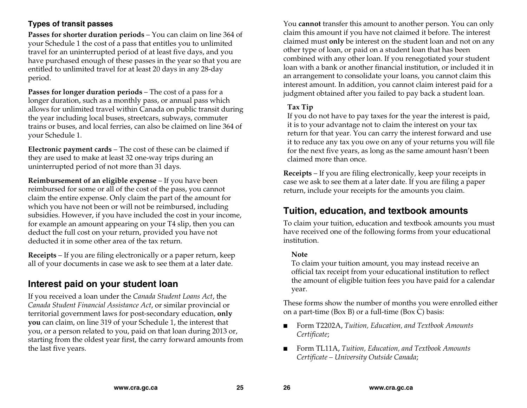#### **Types of transit passes**

**Passes for shorter duration periods**  – You can claim on line 364 of your Schedule 1 the cost of a pass that entitles you to unlimited travel for an uninterrupted period of at least five days, and you have purchased enough of these passes in the year so that you are entitled to unlimited travel for at least 20 days in any 28-day period.

**Passes for longer duration periods** – The cost of a pass for a longer duration, such as a monthly pass, or annual pass which allows for unlimited travel within Canada on public transit during the year including local buses, streetcars, subways, commuter trains or buses, and local ferries, can also be claimed on line 364 of your Schedule 1.

**Electronic payment cards** – The cost of these can be claimed if they are used to make at least 32 one-way trips during an uninterrupted period of not more than 31 days.

**Reimbursement of an eligible expense** – If you have been reimbursed for some or all of the cost of the pass, you cannot claim the entire expense. Only claim the part of the amount for which you have not been or will not be reimbursed, including subsidies. However, if you have included the cost in your income, for example an amount appearing on your T4 slip, then you can deduct the full cost on your return, provided you have not deducted it in some other area of the tax return.

**Receipts** – If you are filing electronically or a paper return, keep all of your documents in case we ask to see them at a later date.

### **Interest paid on your student loan**

If you received a loan under the *Canada Student Loans Act*, the *Canada Student Financial Assistance Act*, or similar provincial or territorial government laws for post-secondary education, **only you** can claim, on line 319 of your Schedule 1, the interest that you, or a person related to you, paid on that loan during 2013 or, starting from the oldest year first, the carry forward amounts from the last five years.

You **cannot** transfer this amount to another person. You can only claim this amount if you have not claimed it before. The interest claimed must **only** be interest on the student loan and not on any other type of loan, or paid on a student loan that has been combined with any other loan. If you renegotiated your student loan with a bank or another financial institution, or included it in an arrangement to consolidate your loans, you cannot claim this interest amount. In addition, you cannot claim interest paid for a judgment obtained after you failed to pay back a student loan.

#### **Tax Tip**

If you do not have to pay taxes for the year the interest is paid, it is to your advantage not to claim the interest on your tax return for that year. You can carry the interest forward and use it to reduce any tax you owe on any of your returns you will file for the next five years, as long as the same amount hasn't been claimed more than once.

**Receipts** – If you are filing electronically, keep your receipts in case we ask to see them at a later date. If you are filing a paper return, include your receipts for the amounts you claim.

### **Tuition, education, and textbook amounts**

To claim your tuition, education and textbook amounts you must have received one of the following forms from your educational institution.

#### **Note**

To claim your tuition amount, you may instead receive an official tax receipt from your educational institution to reflect the amount of eligible tuition fees you have paid for a calendar year.

These forms show the number of months you were enrolled either on a part-time (Box B) or a full-time (Box C) basis:

- ■ Form T2202A, *Tuition, Education, and Textbook Amounts Certificate*;
- ■ Form TL11A, *Tuition, Education, and Textbook Amounts Certificate – University Outside Canada*;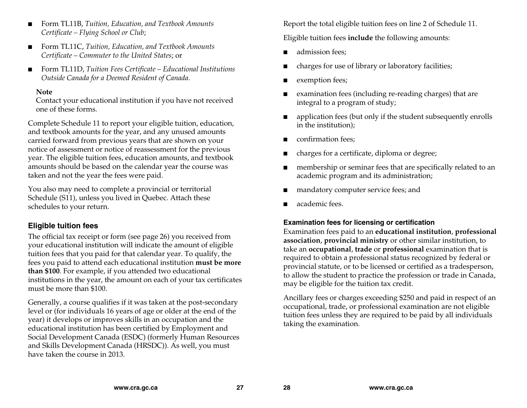- ■ Form TL11B, *Tuition, Education, and Textbook Amounts Certificate – Flying School or Club*;
- Form TL11C, *Tuition, Education, and Textbook Amounts Certificate – Commuter to the United States*; or
- ■ Form TL11D, *Tuition Fees Certificate – Educational Institutions Outside Canada for a Deemed Resident of Canada*.

#### **Note**

Contact your educational institution if you have not received one of these forms.

Complete Schedule 11 to report your eligible tuition, education, and textbook amounts for the year, and any unused amounts carried forward from previous years that are shown on your notice of assessment or notice of reassessment for the previous year. The eligible tuition fees, education amounts, and textbook amounts should be based on the calendar year the course was taken and not the year the fees were paid.

You also may need to complete a provincial or territorial Schedule (S11), unless you lived in Quebec. Attach these schedules to your return.

#### **Eligible tuition fees**

The official tax receipt or form (see page 26) you received from your educational institution will indicate the amount of eligible tuition fees that you paid for that calendar year. To qualify, the fees you paid to attend each educational institution **must be more than \$100**. For example, if you attended two educational institutions in the year, the amount on each of your tax certificates must be more than \$100.

Generally, a course qualifies if it was taken at the post-secondary level or (for individuals 16 years of age or older at the end of the year) it develops or improves skills in an occupation and the educational institution has been certified by Employment and Social Development Canada (ESDC) (formerly Human Resources and Skills Development Canada (HRSDC)). As well, you must have taken the course in 2013.

Report the total eligible tuition fees on line 2 of Schedule 11.

Eligible tuition fees **include** the following amounts:

- ■admission fees;
- ■charges for use of library or laboratory facilities;
- ■exemption fees;
- ■ examination fees (including re-reading charges) that are integral to a program of study;
- ■ application fees (but only if the student subsequently enrolls in the institution);
- ■confirmation fees;
- ■charges for a certificate, diploma or degree;
- ■ membership or seminar fees that are specifically related to an academic program and its administration;
- ■mandatory computer service fees; and
- ■academic fees.

#### **Examination fees for licensing or certification**

Examination fees paid to an **educational institution**, **professional association**, **provincial ministry** or other similar institution, to take an **occupational**, **trade** or **professional** examination that is required to obtain a professional status recognized by federal or provincial statute, or to be licensed or certified as a tradesperson, to allow the student to practice the profession or trade in Canada, may be eligible for the tuition tax credit.

Ancillary fees or charges exceeding \$250 and paid in respect of an occupational, trade, or professional examination are not eligible tuition fees unless they are required to be paid by all individuals taking the examination.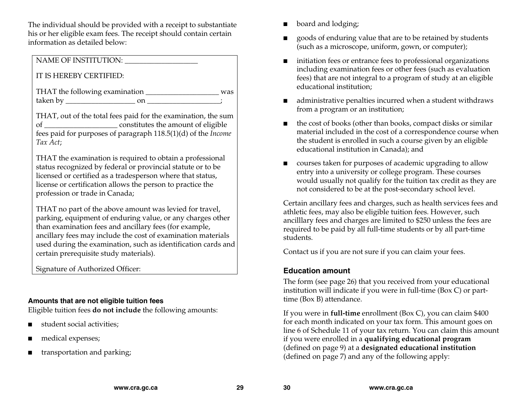The individual should be provided with a receipt to substantiate his or her eligible exam fees. The receipt should contain certain information as detailed below:

#### NAME OF INSTITUTION:

#### IT IS HEREBY CERTIFIED:

| THAT the following examination | was |
|--------------------------------|-----|
| taken by                       |     |

THAT, out of the total fees paid for the examination, the sum of \_\_\_\_\_\_\_\_\_\_\_\_\_\_\_\_\_\_\_\_ constitutes the amount of eligible fees paid for purposes of paragraph 118.5(1)(d) of the *Income Tax Act*;

THAT the examination is required to obtain a professional status recognized by federal or provincial statute or to be licensed or certified as a tradesperson where that status, license or certification allows the person to practice the profession or trade in Canada;

THAT no part of the above amount was levied for travel, parking, equipment of enduring value, or any charges other than examination fees and ancillary fees (for example, ancillary fees may include the cost of examination materials used during the examination, such as identification cards and certain prerequisite study materials).

Signature of Authorized Officer:

#### **Amounts that are not eligible tuition fees**

Eligible tuition fees **do not include** the following amounts:

- ■student social activities;
- ■medical expenses;
- ■transportation and parking;
- ■board and lodging;
- ■ goods of enduring value that are to be retained by students (such as a microscope, uniform, gown, or computer);
- initiation fees or entrance fees to professional organizations including examination fees or other fees (such as evaluation fees) that are not integral to a program of study at an eligible educational institution;
- administrative penalties incurred when a student withdraws from a program or an institution;
- ■ the cost of books (other than books, compact disks or similar material included in the cost of a correspondence course when the student is enrolled in such a course given by an eligible educational institution in Canada); and
- courses taken for purposes of academic upgrading to allow entry into a university or college program. These courses would usually not qualify for the tuition tax credit as they are not considered to be at the post-secondary school level.

Certain ancillary fees and charges, such as health services fees and athletic fees, may also be eligible tuition fees. However, such ancilllary fees and charges are limited to \$250 unless the fees are required to be paid by all full-time students or by all part-time students.

Contact us if you are not sure if you can claim your fees.

#### **Education amount**

The form (see page 26) that you received from your educational institution will indicate if you were in full-time (Box C) or parttime (Box B) attendance.

If you were in **full-time** enrollment (Box C), you can claim \$400 for each month indicated on your tax form. This amount goes on line 6 of Schedule 11 of your tax return. You can claim this amount if you were enrolled in a **qualifying educational program** (defined on page 9) at a **designated educational institution** (defined on page 7) and any of the following apply: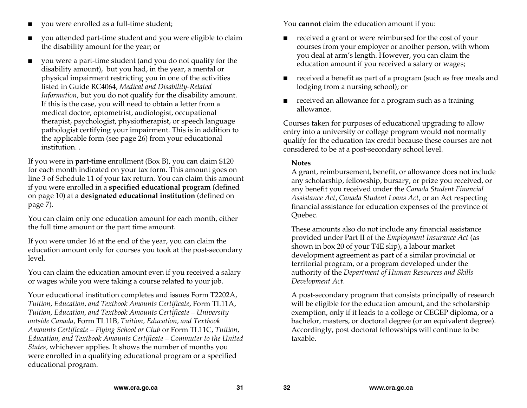- ■you were enrolled as a full-time student;
- ■ you attended part-time student and you were eligible to claim the disability amount for the year; or
- you were a part-time student (and you do not qualify for the disability amount), but you had, in the year, a mental or physical impairment restricting you in one of the activities listed in Guide RC4064, *Medical and Disability-Related Information*, but you do not qualify for the disability amount. If this is the case, you will need to obtain a letter from a medical doctor, optometrist, audiologist, occupational therapist, psychologist, physiotherapist, or speech language pathologist certifying your impairment. This is in addition to the applicable form (see page 26) from your educational institution. .

If you were in **part-time** enrollment (Box B), you can claim \$120 for each month indicated on your tax form. This amount goes on line 3 of Schedule 11 of your tax return. You can claim this amount if you were enrolled in a **specified educational program** (defined on page 10) at a **designated educational institution** (defined on page 7).

You can claim only one education amount for each month, either the full time amount or the part time amount.

If you were under 16 at the end of the year, you can claim the education amount only for courses you took at the post-secondary level.

You can claim the education amount even if you received a salary or wages while you were taking a course related to your job.

Your educational institution completes and issues Form T2202A, *Tuition, Education, and Textbook Amounts Certificate*, Form TL11A, *Tuition, Education, and Textbook Amounts Certificate – University outside Canada*, Form TL11B, *Tuition, Education, and Textbook Amounts Certificate – Flying School or Club* or Form TL11C, *Tuition, Education, and Textbook Amounts Certificate – Commuter to the United States*, whichever applies. It shows the number of months you were enrolled in a qualifying educational program or a specified educational program.

You **cannot** claim the education amount if you:

- ■ received a grant or were reimbursed for the cost of your courses from your employer or another person, with whom you deal at arm's length. However, you can claim the education amount if you received a salary or wages;
- received a benefit as part of a program (such as free meals and lodging from a nursing school); or
- received an allowance for a program such as a training allowance.

Courses taken for purposes of educational upgrading to allow entry into a university or college program would **not** normally qualify for the education tax credit because these courses are not considered to be at a post-secondary school level.

#### **Notes**

A grant, reimbursement, benefit, or allowance does not include any scholarship, fellowship, bursary, or prize you received, or any benefit you received under the *Canada Student Financial Assistance Act*, *Canada Student Loans Act*, or an Act respecting financial assistance for education expenses of the province of Quebec.

These amounts also do not include any financial assistance provided under Part II of the *Employment Insurance Act* (as shown in box 20 of your T4E slip), a labour market development agreement as part of a similar provincial or territorial program, or a program developed under the authority of the *Department of Human Resources and Skills Development Act*.

A post-secondary program that consists principally of research will be eligible for the education amount, and the scholarship exemption, only if it leads to a college or CEGEP diploma, or a bachelor, masters, or doctoral degree (or an equivalent degree). Accordingly, post doctoral fellowships will continue to be taxable.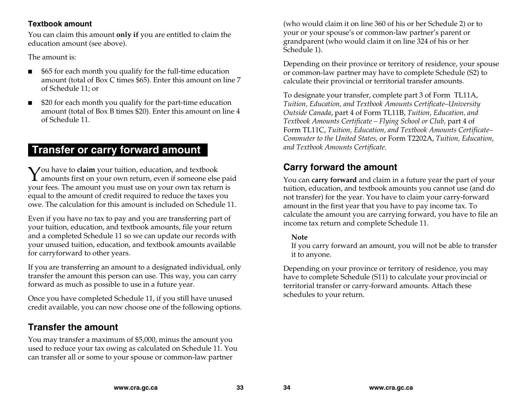#### **Textbook amount**

You can claim this amount **only if** you are entitled to claim the education amount (see above).

The amount is:

- ■ \$65 for each month you qualify for the full-time education amount (total of Box C times \$65). Enter this amount on line 7 of Schedule 11; or
- \$20 for each month you qualify for the part-time education amount (total of Box B times \$20). Enter this amount on line 4 of Schedule 11.

# **Transfer or carry forward amount**

 $\boldsymbol{\mathcal{Y}}$ ou have to **claim** your tuition, education, and textbook and textbook and textbook amounts first on your own return, even if someone else paid your fees. The amount you must use on your own tax return is equal to the amount of credit required to reduce the taxes you owe. The calculation for this amount is included on Schedule 11.

Even if you have no tax to pay and you are transferring part of your tuition, education, and textbook amounts, file your return and a completed Schedule 11 so we can update our records with your unused tuition, education, and textbook amounts available for carryforward to other years.

If you are transferring an amount to a designated individual, only transfer the amount this person can use. This way, you can carry forward as much as possible to use in a future year.

Once you have completed Schedule 11, if you still have unused credit available, you can now choose one of the following options.

# **Transfer the amount**

You may transfer a maximum of \$5,000, minus the amount you used to reduce your tax owing as calculated on Schedule 11. You can transfer all or some to your spouse or common-law partner

(who would claim it on line 360 of his or her Schedule 2) or to your or your spouse's or common-law partner's parent or grandparent (who would claim it on line 324 of his or her Schedule 1).

Depending on their province or territory of residence, your spouse or common-law partner may have to complete Schedule (S2) to calculate their provincial or territorial transfer amounts.

To designate your transfer, complete part 3 of Form TL11A, *Tuition, Education, and Textbook Amounts Certificate–University Outside Canada*, part 4 of Form TL11B, *Tuition, Education, and Textbook Amounts Certificate – Flying School or Club,* part 4 of Form TL11C, *Tuition, Education, and Textbook Amounts Certificate– Commuter to the United States,* or Form T2202A, *Tuition, Education, and Textbook Amounts Certificate*.

### **Carry forward the amount**

You can **carry forward** and claim in a future year the part of your tuition, education, and textbook amounts you cannot use (and do not transfer) for the year. You have to claim your carry-forward amount in the first year that you have to pay income tax. To calculate the amount you are carrying forward, you have to file an income tax return and complete Schedule 11.

#### **Note**

If you carry forward an amount, you will not be able to transfer it to anyone.

Depending on your province or territory of residence, you may have to complete Schedule (S11) to calculate your provincial or territorial transfer or carry-forward amounts. Attach these schedules to your return.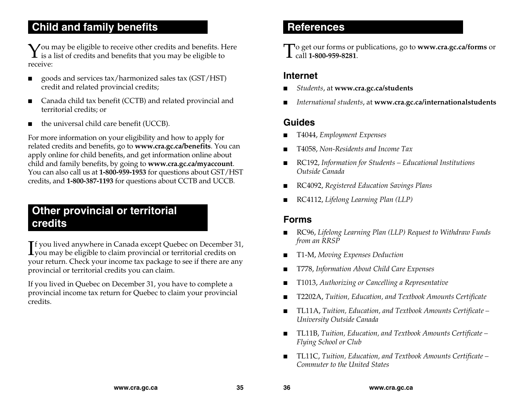# **Child and family benefits**

 $\sum$  ou may be eligible to receive other credits and benefits. Here is a list of credits and benefits that you may be eligible to  $\mathbf I$  is a list of credits and benefits that you may be eligible to receive:

- ■ goods and services tax/harmonized sales tax (GST/HST) credit and related provincial credits;
- ■ Canada child tax benefit (CCTB) and related provincial and territorial credits; or
- ■the universal child care benefit (UCCB).

For more information on your eligibility and how to apply for related credits and benefits, go to **www.cra.gc.ca/benefits**. You can apply online for child benefits, and get information online about child and family benefits, by going to **www.cra.gc.ca/myaccount**. You can also call us at **1-800-959-1953** for questions about GST/HST credits, and **1-800-387-1193** for questions about CCTB and UCCB.

# **Other provincial or territorial credits**

**T**f you lived anywhere in Canada except Quebec on December 31,  $\mathbf I$ f you lived anywhere in Canada except Quebec on December 3<br> $\mathbf I$ you may be eligible to claim provincial or territorial credits on your return. Check your income tax package to see if there are any provincial or territorial credits you can claim.

If you lived in Quebec on December 31, you have to complete a provincial income tax return for Quebec to claim your provincial credits.

# **References**

To get our forms or publications, go to **www.cra.gc.ca/forms** or<br> **T** call **1-800-959-8281**. call **1-800-959-8281**.

### **Internet**

- ■*Students*, at **www.cra.gc.ca/students**
- ■*International students*, at **www.cra.gc.ca/internationalstudents**

### **Guides**

- ■T4044, *Employment Expenses*
- ■T4058, *Non-Residents and Income Tax*
- ■ RC192, *Information for Students – Educational Institutions Outside Canada*
- ■RC4092, *Registered Education Savings Plans*
- ■RC4112, *Lifelong Learning Plan (LLP)*

### **Forms**

- ■ RC96, *Lifelong Learning Plan (LLP) Request to Withdraw Funds from an RRSP*
- ■T1-M, *Moving Expenses Deduction*
- ■T778, *Information About Child Care Expenses*
- ■T1013, *Authorizing or Cancelling a Representative*
- ■T2202A, *Tuition, Education, and Textbook Amounts Certificate*
- ■ TL11A, *Tuition, Education, and Textbook Amounts Certificate – University Outside Canada*
- ■ TL11B, *Tuition, Education, and Textbook Amounts Certificate – Flying School or Club*
- TL11C, *Tuition, Education, and Textbook Amounts Certificate Commuter to the United States*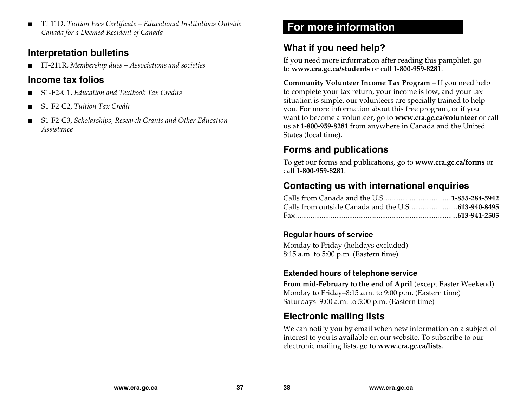■ TL11D, *Tuition Fees Certificate – Educational Institutions Outside Canada for a Deemed Resident of Canada*

### **Interpretation bulletins**

■IT-211R, *Membership dues – Associations and societies*

### **Income tax folios**

- ■S1-F2-C1, *Education and Textbook Tax Credits*
- S1-F2-C2, *Tuition Tax Credit*
- S1-F2-C3, *Scholarships, Research Grants and Other Education Assistance*

# **For more information**

# **What if you need help?**

If you need more information after reading this pamphlet, go to **www.cra.gc.ca/students** or call **1-800-959-8281**.

**Community Volunteer Income Tax Program** – If you need help to complete your tax return, your income is low, and your tax situation is simple, our volunteers are specially trained to help you. For more information about this free program, or if you want to become a volunteer, go to **www.cra.gc.ca/volunteer** or call us at **1-800-959-8281** from anywhere in Canada and the United States (local time).

# **Forms and publications**

To get our forms and publications, go to **www.cra.gc.ca/forms** or call **1-800-959-8281**.

### **Contacting us with international enquiries**

#### **Regular hours of service**

Monday to Friday (holidays excluded) 8:15 a.m. to 5:00 p.m. (Eastern time)

#### **Extended hours of telephone service**

**From mid-February to the end of April** (except Easter Weekend) Monday to Friday–8:15 a.m. to 9:00 p.m. (Eastern time) Saturdays–9:00 a.m. to 5:00 p.m. (Eastern time)

# **Electronic mailing lists**

We can notify you by email when new information on a subject of interest to you is available on our website. To subscribe to our electronic mailing lists, go to **www.cra.gc.ca/lists**.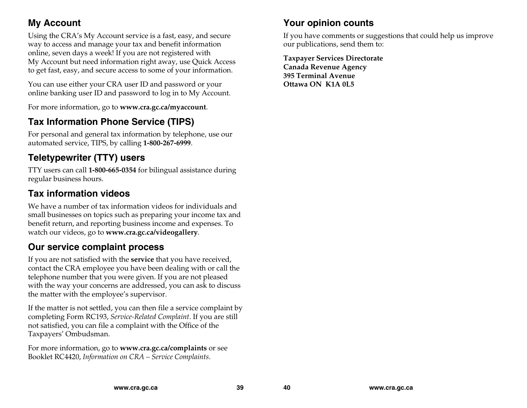# **My Account**

Using the CRA's My Account service is a fast, easy, and secure way to access and manage your tax and benefit information online, seven days a week! If you are not registered with My Account but need information right away, use Quick Access to get fast, easy, and secure access to some of your information.

You can use either your CRA user ID and password or your online banking user ID and password to log in to My Account.

For more information, go to **www.cra.gc.ca/myaccount**.

# **Tax Information Phone Service (TIPS)**

For personal and general tax information by telephone, use our automated service, TIPS, by calling **1-800-267-6999**.

# **Teletypewriter (TTY) users**

TTY users can call **1-800-665-0354** for bilingual assistance during regular business hours.

# **Tax information videos**

We have a number of tax information videos for individuals and small businesses on topics such as preparing your income tax and benefit return, and reporting business income and expenses. To watch our videos, go to **www.cra.gc.ca/videogallery**.

# **Our service complaint process**

If you are not satisfied with the **service** that you have received, contact the CRA employee you have been dealing with or call the telephone number that you were given. If you are not pleased with the way your concerns are addressed, you can ask to discuss the matter with the employee's supervisor.

If the matter is not settled, you can then file a service complaint by completing Form RC193, *Service-Related Complaint*. If you are still not satisfied, you can file a complaint with the Office of the Taxpayers' Ombudsman.

For more information, go to **www.cra.gc.ca/complaints** or see Booklet RC4420, *Information on CRA – Service Complaints*.

# **Your opinion counts**

If you have comments or suggestions that could help us improve our publications, send them to:

**Taxpayer Services Directorate Canada Revenue Agency 395 Terminal Avenue Ottawa ON K1A 0L5**